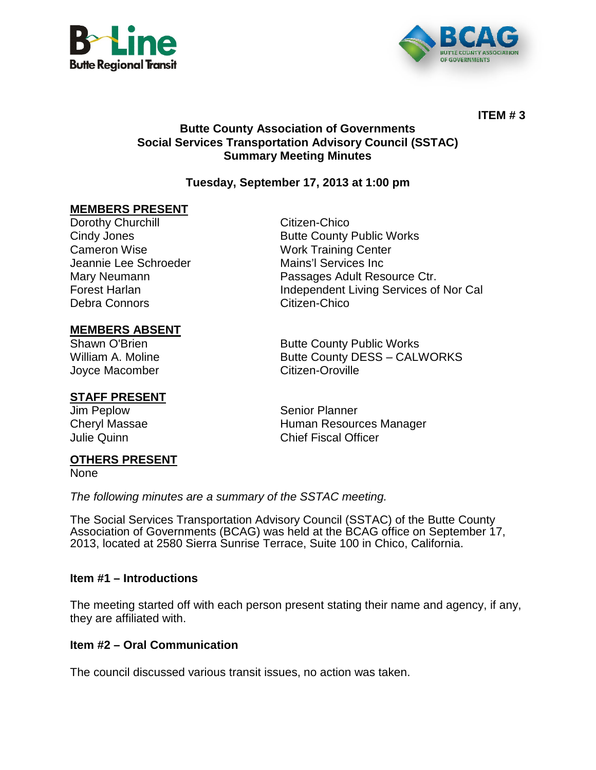



**ITEM # 3**

#### **Butte County Association of Governments Social Services Transportation Advisory Council (SSTAC) Summary Meeting Minutes**

## **Tuesday, September 17, 2013 at 1:00 pm**

#### **MEMBERS PRESENT**

Dorothy Churchill **Citizen-Chico** Cindy Jones **Butte County Public Works** Cameron Wise Work Training Center Jeannie Lee Schroeder Mains'l Services Inc Mary Neumann Passages Adult Resource Ctr. Forest Harlan **Independent Living Services of Nor Cal** Debra Connors Citizen-Chico

# **MEMBERS ABSENT**

Joyce Macomber Citizen-Oroville

## **STAFF PRESENT**

# **Butte County Public Works** William A. Moline **Butte County DESS – CALWORKS**

Jim Peplow Senior Planner Cheryl Massae **Human Resources Manager** Julie Quinn Chief Fiscal Officer

#### **OTHERS PRESENT**

None

*The following minutes are a summary of the SSTAC meeting.* 

The Social Services Transportation Advisory Council (SSTAC) of the Butte County Association of Governments (BCAG) was held at the BCAG office on September 17, 2013, located at 2580 Sierra Sunrise Terrace, Suite 100 in Chico, California.

#### **Item #1 – Introductions**

The meeting started off with each person present stating their name and agency, if any, they are affiliated with.

#### **Item #2 – Oral Communication**

The council discussed various transit issues, no action was taken.